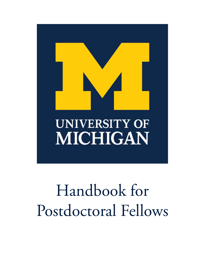

# Handbook for Postdoctoral Fellows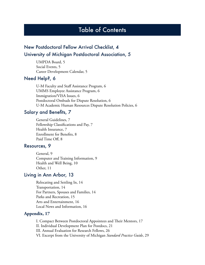## Table of Contents

## New Postdoctoral Fellow Arrival Checklist, 4 University of Michigan Postdoctoral Association, 5

UMPDA Board, 5 Social Events, 5 Career Development Calendar, 5

#### Need Help?, 6

U-M Faculty and Staff Assistance Program, 6 UMMS Employee Assistance Program, 6 Immigration/VISA Issues, 6 Postdoctoral Ombuds for Dispute Resolution, 6 U-M Academic Human Resources Dispute Resolution Policies, 6

#### Salary and Benefits, 7

General Guidelines, 7 Fellowship Classifications and Pay, 7 Health Insurance, 7 Enrollment for Benefits, 8 Paid Time Off, 8

## Resources, 9

 General, 9 Computer and Training Information, 9 Health and Well Being, 10 Other, 11

#### Living in Ann Arbor, 13

Relocating and Settling In, 14 Transportation, 14 For Partners, Spouses and Families, 14 Parks and Recreation, 15 Arts and Entertainment, 16 Local News and Information, 16

#### **Appendix, 17**

I. Compact Between Postdoctoral Appointees and Their Mentors, 17 II. Individual Development Plan for Postdocs, 21 III. Annual Evaluation for Research Fellows, 26 VI. Excerpt from the University of Michigan *Standard Practice Guide*, 29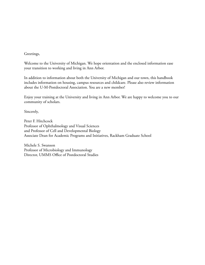#### Greetings,

Welcome to the University of Michigan. We hope orientation and the enclosed information ease your transition to working and living in Ann Arbor.

In addition to information about both the University of Michigan and our town, this handbook includes information on housing, campus resources and childcare. Please also review information about the U-M-Postdoctoral Association. You are a new member!

Enjoy your training at the University and living in Ann Arbor. We are happy to welcome you to our community of scholars.

Sincerely,

Peter F. Hitchcock Professor of Ophthalmology and Visual Sciences and Professor of Cell and Developmental Biology Associate Dean for Academic Programs and Initiatives, Rackham Graduate School

Michele S. Swanson Professor of Microbiology and Immunology Director, UMMS Office of Postdoctoral Studies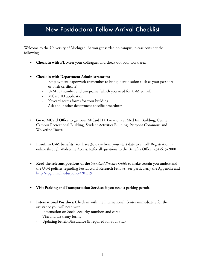## New Postdoctoral Fellow Arrival Checklist

Welcome to the University of Michigan! As you get settled on campus, please consider the following:

- **Check in with PI.** Meet your colleagues and check out your work area.
- **Check in with Department Administrator for** 
	- Employment paperwork (remember to bring identification such as your passport or birth certificate)
	- U-M ID number and uniqname (which you need for U-M e-mail)
	- MCard ID application
	- Keycard access forms for your building
	- Ask about other department-specific procedures
- **Go to MCard Office to get your MCard ID.** Locations at Med Inn Building, Central Campus Recreational Building, Student Activities Building, Pierpont Commons and Wolverine Tower.
- **Enroll in U-M benefits.** You have **30 days** from your start date to enroll! Registration is online through Wolverine Access. Refer all questions to the Benefits Office: 734-615-2000
- **Read the relevant portions of the** *Standard Practice Guide* to make certain you understand the U-M policies regarding Postdoctoral Research Fellows. See particularly the Appendix and http://spg.umich.edu/policy/201.19
- **Visit Parking and Transportation Services** if you need a parking permit.
- **International Postdocs:** Check in with the International Center immediately for the assistance you will need with
	- Information on Social Security numbers and cards
	- Visa and tax treaty forms
	- Updating benefits/insurance (if required for your visa)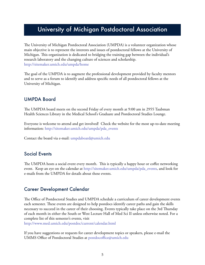## University of Michigan Postdoctoral Association

The University of Michigan Postdoctoral Association (UMPDA) is a volunteer organization whose main objective is to represent the interests and issues of postdoctoral fellows at the University of Michigan. This organization is dedicated to bridging the training gap between the individual's research laboratory and the changing culture of sciences and scholarship. http://sitemaker.umich.edu/umpda/home

The goal of the UMPDA is to augment the professional development provided by faculty mentors and to serve as a forum to identify and address specific needs of all postdoctoral fellows at the University of Michigan.

## UMPDA Board

The UMPDA board meets on the second Friday of every month at 9:00 am in 2955 Taubman Health Sciences Library in the Medical School's Graduate and Postdoctoral Studies Lounge.

Everyone is welcome to attend and get involved! Check the website for the most up-to-date meeting information: http://sitemaker.umich.edu/umpda/pda\_events

Contact the board via e-mail: umpdaboard@umich.edu

#### Social Events

The UMPDA hosts a social event every month. This is typically a happy hour or coffee networking event. Keep an eye on the calendar at http://sitemaker.umich.edu/umpda/pda\_events, and look for e-mails from the UMPDA for details about these events.

#### Career Development Calendar

The Office of Postdoctoral Studies and UMPDA schedule a curriculum of career development events each semester. These events are designed to help postdocs identify career paths and gain the skills necessary to succeed in the career of their choosing. Events typically take place on the 3rd Thursday of each month in either the South or West Lecture Hall of Med Sci II unless otherwise noted. For a complete list of this semester's events, visit

http://www.med.umich.edu/postdoc/current/calendar.html

If you have suggestions or requests for career development topics or speakers, please e-mail the UMMS Office of Postdoctoral Studies at postdocoffice@umich.edu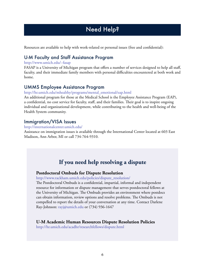## Need Help?

Resources are available to help with work-related or personal issues (free and confidential):

## U-M Faculty and Staff Assistance Program

#### http://www.umich.edu/~fasap

FASAP is a University of Michigan program that offers a number of services designed to help all staff, faculty, and their immediate family members with personal difficulties encountered at both work and home.

## UMMS Employee Assistance Program

#### http://hr.umich.edu/mhealthy/programs/mental\_emotional/eap.html

An additional program for those at the Medical School is the Employee Assistance Program (EAP), a confidential, no cost service for faculty, staff, and their families. Their goal is to inspire ongoing individual and organizational development, while contributing to the health and well-being of the Health System community.

#### Immigration/VISA Issues

#### http://internationalcenter.umich.edu/

Assistance on immigration issues is available through the International Center located at 603 East Madison, Ann Arbor, MI or call 734-764-9310.

## **If you need help resolving a dispute**

#### **Postdoctoral Ombuds for Dispute Resolution**

#### http://www.rackham.umich.edu/policies/dispute\_resolution/

The Postdoctoral Ombuds is a confidential, impartial, informal and independent resource for information or dispute management that serves postdoctoral fellows at the University of Michigan. The Ombuds provides an environment where postdocs can obtain information, review options and resolve problems. The Ombuds is not compelled to report the details of your conversation at any time. Contact Darlene Ray-Johnson: rayj@umich.edu or (734) 936-1647

#### **U-M Academic Human Resources Dispute Resolution Policies**

http://hr.umich.edu/acadhr/researchfellows/dispute.html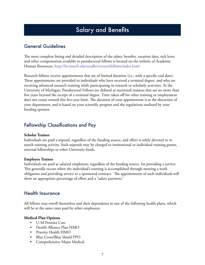## Salary and Benefits

## General Guidelines

The most complete listing and detailed description of the salary, benefits, vacation days, sick leave and other compensation available to postdoctoral fellows is located on the website of Academic Human Resources: http://hr.umich.edu/acadhr/researchfellows/index.html

Research fellows receive appointments that are of limited duration (i.e., with a specific end date). These appointments are provided to individuals who have received a terminal degree, and who are receiving advanced research training while participating in research or scholarly activities. At the University of Michigan, Postdoctoral Fellows are defined as mentored trainees that are no more than five years beyond the receipt of a terminal degree. Time taken off for other training or employment does not count toward this five-year limit. The duration of your appointment is at the discretion of your department, and is based on your scientific progress and the regulations outlined by your funding sponsor.

## Fellowship Classifications and Pay

#### **Scholar Trainee**

Individuals are paid a stipend, regardless of the funding source, and effort is solely devoted to research training activity. Such stipends may be charged to institutional or individual training grants, external fellowships or other University funds.

#### **Employee Trainee**

Individuals are paid as salaried employees, regardless of the funding source, for providing a service. This generally occurs when the individual's training is accomplished through meeting a work obligation and providing service to a sponsored contract. The appointments of such individuals will show an appropriate percentage of effort and a "salary payment."

## Health Insurance

All fellows may enroll themselves and their dependents in one of the following health plans, which will be at the same rates paid by other employees.

#### **Medical Plan Options**

- U-M Premier Care
- Health Alliance Plan HMO
- Priority Health HMO
- Blue Cross/Blue Shield PPO
- Comprehensive Major Medical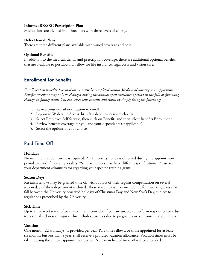#### **InformedRX/SXC Prescription Plan**

Medications are divided into three tiers with three levels of co-pay.

#### **Delta Dental Plans**

There are three different plans available with varied coverage and cost.

#### **Optional Benefits**

In addition to the medical, dental and prescription coverage, there are additional optional benefits that are available to postdoctoral fellow for life insurance, legal costs and vision care.

## Enrollment for Benefits

*Enrollment in benefits described above must be completed within 30 days of starting your appointment. Benefits selections may only be changed during the annual open enrollment period in the fall, or following changes in family status. You can select your benefits and enroll by simply doing the following:*

- 1. Review your e-mail notification to enroll.
- 2. Log on to Wolverine Access: http://wolverineaccess.umich.edu
- 3. Select Employee Self Service, then click on Benefits and then select Benefits Enrollment.
- 4. Review benefits coverage for you and your dependents (if applicable).
- 5. Select the options of your choice.

## Paid Time Off

#### **Holidays**

No minimum appointment is required. All University holidays observed during the appointment period are paid if receiving a salary. \*Scholar trainees may have different specifications. Please see your department administrator regarding your specific training grant.

#### **Season Days**

Research fellows may be granted time off without loss of their regular compensation on several season days if their department is closed. These season days may include the four working days that fall between the University-observed holidays of Christmas Day and New Year's Day, subject to regulations prescribed by the University.

#### **Sick Time**

Up to three weeks/year of paid sick time is provided if you are unable to perform responsibilities due to personal sickness or injury. This includes absences due to pregnancy or a chronic medical illness.

#### **Vacation**

One month (22 workdays) is provided per year. Part-time fellows, or those appointed for at least six months but less than a year, shall receive a prorated vacation allowance. Vacation times must be taken during the annual appointment period. No pay in lieu of time off will be provided.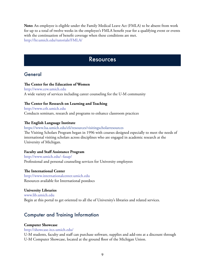**Note:** An employee is eligible under the Family Medical Leave Act (FMLA) to be absent from work for up to a total of twelve weeks in the employee's FMLA benefit year for a qualifying event or events with the continuation of benefit coverage when these conditions are met. http://hr.umich.edu/tutorials/FMLA/

## **Resources**

## General

#### **The Center for the Education of Women**

http://www.cew.umich.edu A wide variety of services including career counseling for the U-M community

#### **The Center for Research on Learning and Teaching**

http://www.crlt.umich.edu Conducts seminars, research and programs to enhance classroom practices

#### **The English Language Institute**

https://www.lsa.umich.edu/eli/resources/visitingscholarresources The Visiting Scholars Program began in 1996 with courses designed especially to meet the needs of international visiting scholars across disciplines who are engaged in academic research at the University of Michigan.

#### **Faculty and Staff Assistance Program**

http://www.umich.edu/~fasap/ Professional and personal counseling services for University employees

#### **The International Center**

http://www.internationalcenter.umich.edu Resources available for International postdocs

#### **University Libraries**

www.lib.umich.edu Begin at this portal to get oriented to all the of University's libraries and related services.

#### Computer and Training Information

#### **Computer Showcase**

#### http://showcase.itcs.umich.edu/

U-M students, faculty and staff can purchase software, supplies and add-ons at a discount through U-M Computer Showcase, located at the ground floor of the Michigan Union.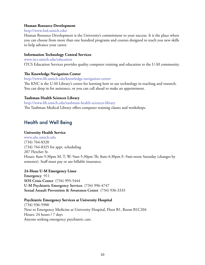#### **Human Resource Development**

#### http://www.hrd.umich.edu/

Human Resource Development is the University's commitment to your success. It is the place where you can choose from more than one hundred programs and courses designed to teach you new skills to help advance your career.

#### **Information Technology Central Services**

www.itcs.umich.edu/education ITCS Education Services provides quality computer training and education to the U-M community.

#### **The Knowledge Navigation Center**

http://www.lib.umich.edu/knowledge-navigation-center

The KNC is the U-M Library's center for learning how to use technology in teaching and research. You can drop in for assistance, or you can call ahead to make an appointment.

#### **Taubman Health Sciences Library**

http://www.lib.umich.edu/taubman-health-sciences-library The Taubman Medical Library offers computer training classes and workshops.

## Health and Well Being

#### **University Health Service**

www.uhs.umich.edu (734) 764-8320 (734) 764-8325 for appt. scheduling 207 Fletcher St. Hours: 8am-5:30pm M, T, W; 9am-5:30pm Th; 8am-4:30pm F; 9am-noon Saturday (changes by semester). Staff must pay or use billable insurance.

#### **24-Hour U-M Emergency Lines**

**Emergency** 911 **SOS Crisis Center** (734) 995-5444 **U-M Psychiatric Emergency Services** (734) 996-4747 **Sexual Assault Prevention & Awareness Center** (734) 936-3333

#### **Psychiatric Emergency Services at University Hospital**

(734) 936-5900 Next to Emergency Medicine at University Hospital, Floor B1, Room B1C204 Hours: 24 hours / 7 days Anyone seeking emergency psychiatric care.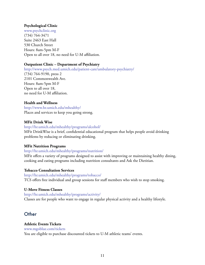#### **Psychological Clinic**

www.psychclinic.org (734) 764-3471 Suite 2463 East Hall 530 Church Street Hours: 8am-5pm M-F Open to all over 18, no need for U-M affiliation.

#### **Outpatient Clinic – Department of Psychiatry**

http://www.psych.med.umich.edu/patient-care/ambulatory-psychiatry/ (734) 764-9190, press 2 2101 Commonwealth Ave. Hours: 8am-5pm M-F Open to all over 18, no need for U-M affiliation.

#### **Health and Wellness**

http://www.hr.umich.edu/mhealthy/ Places and services to keep you going strong.

#### **MFit Drink Wise**

http://hr.umich.edu/mhealthy/programs/alcohol/ MFit DrinkWise is a brief, confidential educational program that helps people avoid drinking problems by reducing or eliminating drinking.

#### **MFit Nutrition Programs**

#### http://hr.umich.edu/mhealthy/programs/nutrition/

MFit offers a variety of programs designed to assist with improving or maintaining healthy dining, cooking and eating programs including nutrition consultants and Ask the Dietitian.

#### **Tobacco Consultation Services**

http://hr.umich.edu/mhealthy/programs/tobacco/ TCS offers free individual and group sessions for staff members who wish to stop smoking.

#### **U-Move Fitness Classes**

http://hr.umich.edu/mhealthy/programs/activity/

Classes are for people who want to engage in regular physical activity and a healthy lifestyle.

## **Other**

#### **Athletic Events Tickets**

www.mgoblue.com/tickets You are eligible to purchase discounted tickets to U-M athletic teams' events.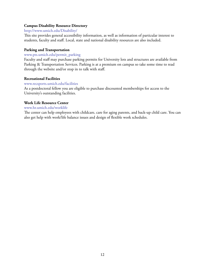#### **Campus Disability Resource Directory**

#### http://www.umich.edu/Disability/

This site provides general accessibility information, as well as information of particular interest to students, faculty and staff. Local, state and national disability resources are also included.

#### **Parking and Transportation**

#### www.pts.umich.edu/permit\_parking

Faculty and staff may purchase parking permits for University lots and structures are available from Parking & Transportation Services. Parking is at a premium on campus so take some time to read through the website and/or stop in to talk with staff.

#### **Recreational Facilities**

#### www.recsports.umich.edu/facilities

As a postdoctoral fellow you are eligible to purchase discounted memberships for access to the University's outstanding facilities.

#### **Work Life Resource Center**

#### www.hr.umich.edu/worklife

The center can help employees with childcare, care for aging parents, and back-up child care. You can also get help with work/life balance issues and design of flexible work schedules.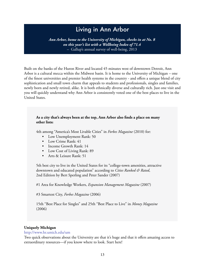## Living in Ann Arbor

*Ann Arbor, home to the University of Michigan, checks in at No. 8 on this year's list with a Wellbeing Index of 71.4*  – Gallup's annual survey of well-being, 2013

Built on the banks of the Huron River and located 45 minutes west of downtown Detroit, Ann Arbor is a cultural mecca within the Midwest basin. It is home to the University of Michigan – one of the finest universities and premier health systems in the country - and offers a unique blend of city sophistication and small town charm that appeals to students and professionals, singles and families, newly born and newly retired, alike. It is both ethnically diverse and culturally rich. Just one visit and you will quickly understand why Ann Arbor is consistently voted one of the best places to live in the United States.

#### **As a city that's always been at the top, Ann Arbor also finds a place on many other lists:**

4th among "America's Most Livable Cities" in *Forbes Magazine* (2010) for:

- Low Unemployment Rank: 50
- Low Crime Rank: 41
- Income Growth Rank: 14
- Low Cost of Living Rank: 89
- Arts & Leisure Rank: 51

5th best city to live in the United States for its "college-town amenities, attractive downtown and educated population" according to *Cities Ranked & Rated*, 2nd Edition by Bert Sperling and Peter Sander (2007)

#1 Area for Knowledge Workers, *Expansion Management Magazine* (2007)

#3 Smartest City, *Forbes Magazine* (2006)

15th "Best Place for Singles" and 25th "Best Place to Live" in *Money Magazine* (2006)

#### **Uniquely Michigan**

http://www.hr.umich.edu/um

Two quick observations about the University are that it's huge and that it offers amazing access to extraordinary resources—if you know where to look. Start here!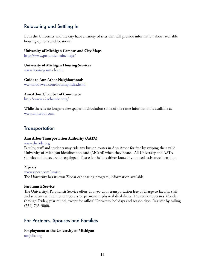## Relocating and Settling In

Both the University and the city have a variety of sites that will provide information about available housing options and locations.

#### **University of Michigan Campus and City Maps**

http://www.pts.umich.edu/maps/

#### **University of Michigan Housing Services**

www.housing.umich.edu

#### **Guide to Ann Arbor Neighborhoods**

www.arborweb.com/housingindex.html

#### **Ann Arbor Chamber of Commerce**

http://www.a2ychamber.org/

While there is no longer a newspaper in circulation some of the same information is available at www.annarbor.com.

### **Transportation**

#### **Ann Arbor Transportation Authority (AATA)**

#### www.theride.org

Faculty, staff and students may ride any bus on routes in Ann Arbor for free by swiping their valid University of Michigan identification card (MCard) when they board. All University and AATA shuttles and buses are lift-equipped. Please let the bus driver know if you need assistance boarding.

#### **Zipcars**

#### www.zipcar.com/umich The University has its own Zipcar car-sharing program; information available.

#### **Paratransit Service**

The University's Paratransit Service offers door-to-door transportation free of charge to faculty, staff and students with either temporary or permanent physical disabilities. The service operates Monday through Friday, year round, except for official University holidays and season days. Register by calling (734) 763-3000.

## For Partners, Spouses and Families

## **Employment at the University of Michigan**

umjobs.org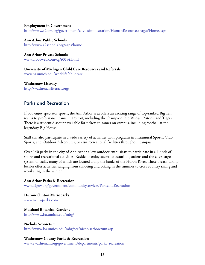#### **Employment in Government**

http://www.a2gov.org/government/city\_administration/HumanResources/Pages/Home.aspx

**Ann Arbor Public Schools**  http://www.a2schools.org/aaps/home

**Ann Arbor Private Schools**  www.arborweb.com/cg/t0054.html

**University of Michigan Child Care Resources and Referrals**  www.hr.umich.edu/worklife/childcare

**Washtenaw Literacy** http://washtenawliteracy.org/

### Parks and Recreation

If you enjoy spectator sports, the Ann Arbor area offers an exciting range of top-ranked Big Ten teams to professional teams in Detroit, including the champion Red Wings, Pistons, and Tigers. There is a student discount available for tickets to games on campus, including football at the legendary Big House.

Staff can also participate in a wide variety of activities with programs in Intramural Sports, Club Sports, and Outdoor Adventures, or visit recreational facilities throughout campus.

Over 140 parks in the city of Ann Arbor allow outdoor enthusiasts to participate in all kinds of sports and recreational activities. Residents enjoy access to beautiful gardens and the city's large system of trails, many of which are located along the banks of the Huron River. These breath-taking locales offer activities ranging from canoeing and biking in the summer to cross country skiing and ice-skating in the winter.

**Ann Arbor Parks & Recreation** www.a2gov.org/government/communityservices/ParksandRecreation

**Huron-Clinton Metroparks**  www.metroparks.com

**Matthaei Botanical Gardens** http://www.lsa.umich.edu/mbg/

**Nichols Arboretum** http://www.lsa.umich.edu/mbg/see/nicholsarboretum.asp

#### **Washtenaw County Parks & Recreation**

www.ewashtenaw.org/government/departments/parks\_recreation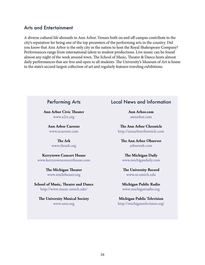#### Arts and Entertainment

A diverse cultural life abounds in Ann Arbor. Venues both on and off campus contribute to the city's reputation for being one of the top presenters of the performing arts in the country. Did you know that Ann Arbor is the only city in the nation to host the Royal Shakespeare Company? Performances range from international talent to student productions. Live music can be found almost any night of the week around town. The School of Music, Theatre & Dance hosts almost daily performances that are free and open to all students. The University's Museum of Art is home to the state's second largest collection of art and regularly features traveling exhibitions.

## Performing Arts

**Ann Arbor Civic Theater** www.a2ct.org

> **Ann Arbor Current** www.ecurrent.com

> > **The Ark** www.theark.org

**Kerrytown Concert House** www.kerrytownconcerthouse.com

> **The Michigan Theater** www.michtheater.org

**School of Music, Theatre and Dance** http://www.music.umich.edu/

**The University Musical Society** www.ums.org

## Local News and Information

**Ann Arbor.com** annarbor.com

**The Ann Arbor Chronicle** http://annarborchronicle.com

**The Ann Arbor Observer** arborweb.com

**The Michigan Daily** www.michigandaily.com

**The University Record** www.ur.umich.edu

**Michigan Public Radio** www.michiganradio.org

**Michigan Public Television** http://michigantelevision.org/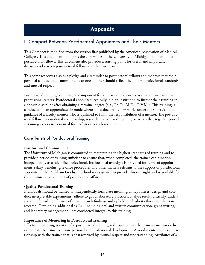## **Appendix**

## I. Compact Between Postdoctoral Appointees and Their Mentors

This Compact is modified from the version first published by the American Association of Medical Colleges. This document highlights the core values of the University of Michigan that pertain to postdoctoral fellows. This document also provides a starting point for useful and important discussions between postdoctoral fellows and their mentors.

This compact serves also as a pledge and a reminder to postdoctoral fellows and mentors that their personal conduct and commitments to one another should reflect the highest professional standards and mutual respect.

Postdoctoral training is an integral component for scholars and scientists as they advance in their professional careers. Postdoctoral appointees typically join an institution to further their training in a chosen discipline after obtaining a terminal degree (e.g., Ph.D., M.D., D.V.M.). This training is conducted in an apprenticeship mode where a postdoctoral fellow works under the supervision and guidance of a faculty mentor who is qualified to fulfill the responsibilities of a mentor. The postdoctoral fellow may undertake scholarship, research, service, and teaching activities that together provide a training experience essential for her/his career advancement.

#### Core Tenets of Postdoctoral Training

#### **Institutional Commitment**

The University of Michigan is committed to maintaining the highest standards of training and to provide a period of training sufficient to ensure that, when completed, the trainee can function independently as a scientific professional. Institutional oversight is provided for terms of appointment, salary, benefits, grievance procedures and other matters relevant to the support of postdoctoral appointees. The Rackham Graduate School is designated to provide this oversight and is available for the administrative support of postdoctoral affairs.

#### **Quality Postdoctoral Training**

Individuals should be trained to independently formulate meaningful hypotheses, design and conduct interpretable experiments, adhere to good laboratory practices, analyze results critically, understand the broad significance of their research findings and uphold the highest ethical standards in research. Developing additional skills—including oral and written communication, grant writing, and laboratory management—are considered integral to this training.

#### **Importance of Mentoring in Postdoctoral Training**

Effective mentoring is critical for postdoctoral training and requires that the primary mentor dedicate substantial time to ensure personal and professional development. A good mentor builds a relationship with the trainee that is characterized by mutual respect and understanding. Attributes of a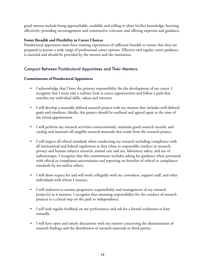good mentor include being approachable, available and willing to share his/her knowledge; listening effectively; providing encouragement and constructive criticism; and offering expertise and guidance.

#### **Foster Breadth and Flexibility in Career Choices**

Postdoctoral appointees must have training experiences of sufficient breadth to ensure that they are prepared to pursue a wide range of professional career options. Effective and regular career guidance is essential and should be provided by the mentor and the institution.

#### Compact Between Postdoctoral Appointees and Their Mentors:

#### **Commitments of Postdoctoral Appointees**

- I acknowledge that I have the primary responsibility for the development of my career. I recognize that I must take a realistic look at career opportunities and follow a path that matches my individual skills, values and interests.
- I will develop a mutually defined research project with my mentor that includes well-defined goals and timelines. Ideally, this project should be outlined and agreed upon at the time of the initial appointment.
- I will perform my research activities conscientiously, maintain good research records, and catalog and maintain all tangible research materials that result from the research project.
- I will respect all ethical standards when conducting my research including compliance with all institutional and federal regulations as they relate to responsible conduct in research, privacy and human subjects research, animal care and use, laboratory safety, and use of radioisotopes. I recognize that this commitment includes asking for guidance when presented with ethical or compliance uncertainties and reporting on breeches of ethical or compliance standards by me and/or others.
- I will show respect for and will work collegially with my coworkers, support staff, and other individuals with whom I interact.
- I will endeavor to assume progressive responsibility and management of my research project(s) as it matures. I recognize that assuming responsibility for the conduct of research projects is a critical step on the path to independence.
- I will seek regular feedback on my performance and ask for a formal evaluation at least annually.
- I will have open and timely discussions with my mentor concerning the dissemination of research findings and the distribution of research materials to third parties.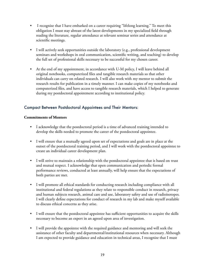- I recognize that I have embarked on a career requiring "lifelong learning." To meet this obligation I must stay abreast of the latest developments in my specialized field through reading the literature, regular attendance at relevant seminar series and attendance at scientific meetings.
- I will actively seek opportunities outside the laboratory (e.g., professional development seminars and workshops in oral communication, scientific writing, and teaching) to develop the full set of professional skills necessary to be successful for my chosen career.
- At the end of my appointment, in accordance with U-M policy, I will leave behind all original notebooks, computerized files and tangible research materials so that other individuals can carry on related research. I will also work with my mentor to submit the research results for publication in a timely manner. I can make copies of my notebooks and computerized files, and have access to tangible research materials, which I helped to generate during my postdoctoral appointment according to institutional policy.

#### Compact Between Postdoctoral Appointees and Their Mentors:

#### **Commitments of Mentors**

- I acknowledge that the postdoctoral period is a time of advanced training intended to develop the skills needed to promote the career of the postdoctoral appointee.
- I will ensure that a mutually agreed upon set of expectations and goals are in place at the outset of the postdoctoral training period, and I will work with the postdoctoral appointee to create an individual career development plan.
- I will strive to maintain a relationship with the postdoctoral appointee that is based on trust and mutual respect. I acknowledge that open communication and periodic formal performance reviews, conducted at least annually, will help ensure that the expectations of both parties are met.
- I will promote all ethical standards for conducting research including compliance with all institutional and federal regulations as they relate to responsible conduct in research, privacy and human subjects research, animal care and use, laboratory safety and use of radioisotopes. I will clearly define expectations for conduct of research in my lab and make myself available to discuss ethical concerns as they arise.
- I will ensure that the postdoctoral appointee has sufficient opportunities to acquire the skills necessary to become an expert in an agreed upon area of investigation.
- I will provide the appointee with the required guidance and mentoring and will seek the assistance of other faculty and departmental/institutional resources when necessary. Although I am expected to provide guidance and education in technical areas, I recognize that I must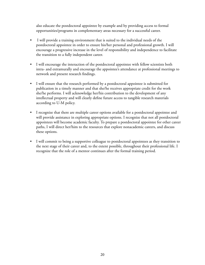also educate the postdoctoral appointee by example and by providing access to formal opportunities/programs in complementary areas necessary for a successful career.

- I will provide a training environment that is suited to the individual needs of the postdoctoral appointee in order to ensure his/her personal and professional growth. I will encourage a progressive increase in the level of responsibility and independence to facilitate the transition to a fully independent career.
- I will encourage the interaction of the postdoctoral appointee with fellow scientists both intra‐ and extramurally and encourage the appointee's attendance at professional meetings to network and present research findings.
- I will ensure that the research performed by a postdoctoral appointee is submitted for publication in a timely manner and that she/he receives appropriate credit for the work she/he performs. I will acknowledge her/his contribution to the development of any intellectual property and will clearly define future access to tangible research materials according to U-M policy.
- I recognize that there are multiple career options available for a postdoctoral appointee and will provide assistance in exploring appropriate options. I recognize that not all postdoctoral appointees will become academic faculty. To prepare a postdoctoral appointee for other career paths, I will direct her/him to the resources that explore nonacademic careers, and discuss these options.
- I will commit to being a supportive colleague to postdoctoral appointees as they transition to the next stage of their career and, to the extent possible, throughout their professional life. I recognize that the role of a mentor continues after the formal training period.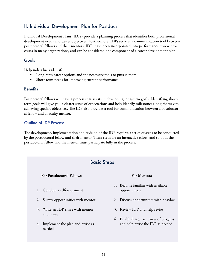## II. Individual Development Plan for Postdocs

Individual Development Plans (IDPs) provide a planning process that identifies both professional development needs and career objectives. Furthermore, IDPs serve as a communication tool between postdoctoral fellows and their mentors. IDPs have been incorporated into performance review processes in many organizations, and can be considered one component of a career development plan.

#### Goals

Help individuals identify:

- Long-term career options and the necessary tools to pursue them
- Short-term needs for improving current performance

#### **Benefits**

Postdoctoral fellows will have a process that assists in developing long-term goals. Identifying shortterm goals will give you a clearer sense of expectations and help identify milestones along the way to achieving specific objectives. The IDP also provides a tool for communication between a postdoctoral fellow and a faculty mentor.

#### Outline of IDP Process

The development, implementation and revision of the IDP requires a series of steps to be conducted by the postdoctoral fellow and their mentor. These steps are an interactive effort, and so both the postdoctoral fellow and the mentor must participate fully in the process.

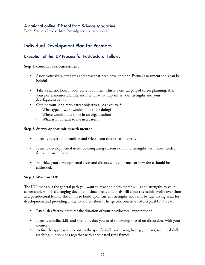#### A national online IDP tool from *Science Magazine*:

From *Science Careers*: http://myidp.sciencecareers.org/

## Individual Development Plan for Postdocs

#### Execution of the IDP Process for Postdoctoral Fellows

#### **Step 1. Conduct a self-assessment**

- Assess your skills, strengths and areas that need development. Formal assessment tools can be helpful.
- Take a realistic look at your current abilities. This is a critical part of career planning. Ask your peers, mentors, family and friends what they see as your strengths and your development needs.
- Outline your long-term career objectives. Ask yourself:
	- What type of work would I like to be doing?
	- Where would I like to be in an organization?
	- What is important to me in a career?

#### **Step 2. Survey opportunities with mentor**

- Identify career opportunities and select from those that interest you.
- Identify developmental needs by comparing current skills and strengths with those needed for your career choice.
- Prioritize your developmental areas and discuss with your mentor how these should be addressed.

#### **Step 3. Write an IDP**

The IDP maps out the general path you want to take and helps match skills and strengths to your career choices. It is a changing document, since needs and goals will almost certainly evolve over time as a postdoctoral fellow. The aim is to build upon current strengths and skills by identifying areas for development and providing a way to address these. The specific objectives of a typical IDP are to:

- Establish effective dates for the duration of your postdoctoral appointment.
- Identify specific skills and strengths that you need to develop (based on discussions with your mentor).
- Define the approaches to obtain the specific skills and strengths (e.g., courses, technical skills, teaching, supervision) together with anticipated time frames.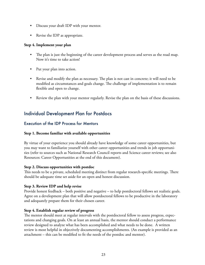- Discuss your draft IDP with your mentor.
- Revise the IDP as appropriate.

#### **Step 4. Implement your plan**

- The plan is just the beginning of the career development process and serves as the road map. Now it's time to take action!
- Put your plan into action.
- Revise and modify the plan as necessary. The plan is not cast in concrete; it will need to be modified as circumstances and goals change. The challenge of implementation is to remain flexible and open to change.
- Review the plan with your mentor regularly. Revise the plan on the basis of these discussions.

## Individual Development Plan for Postdocs

#### Execution of the IDP Process for Mentors

#### **Step 1. Become familiar with available opportunities**

By virtue of your experience you should already have knowledge of some career opportunities, but you may want to familiarize yourself with other career opportunities and trends in job opportunities (refer to sources such as National Research Council reports and Science career reviews; see also Resources: Career Opportunities at the end of this document).

#### **Step 2. Discuss opportunities with postdoc**

This needs to be a private, scheduled meeting distinct from regular research-specific meetings. There should be adequate time set aside for an open and honest discussion.

#### **Step 3. Review IDP and help revise**

Provide honest feedback – both positive and negative – to help postdoctoral fellows set realistic goals. Agree on a development plan that will allow postdoctoral fellows to be productive in the laboratory and adequately prepare them for their chosen career.

#### **Step 4. Establish regular review of progress**

The mentor should meet at regular intervals with the postdoctoral fellow to assess progress, expectations and changing goals. On at least an annual basis, the mentor should conduct a performance review designed to analyze what has been accomplished and what needs to be done. A written review is most helpful in objectively documenting accomplishments. (An example is provided as an attachment – this can be modified to fit the needs of the postdoc and mentor).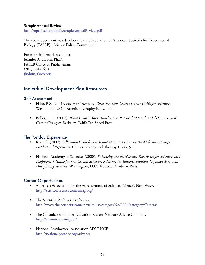#### **Sample Annual Review**

http://opa.faseb.org/pdf/SampleAnnualReview.pdf

The above document was developed by the Federation of American Societies for Experimental Biology (FASEB)'s Science Policy Committee.

For more information contact: Jennifer A. Hobin, Ph.D. FASEB Office of Public Affairs (301) 634-7650 jhobin@faseb.org

## Individual Development Plan Resources

#### Self Assessment

- Fiske, P. S. (2001). *Put Your Science to Work: The Take-Charge Career Guide for Scientists*. Washington, D.C.: American Geophysical Union.
- Bolles, R. N. (2002). *What Color Is Your Parachute? A Practical Manual for Job-Hunters and Career-Changers*. Berkeley, Calif.: Ten Speed Press.

#### The Postdoc Experience

- Kern, S. (2002). *Fellowship Goals for PhDs and MDs: A Primer on the Molecular Biology Postdoctoral Experience*. Cancer Biology and Therapy 1: 74-75.
- National Academy of Sciences. (2000). *Enhancing the Postdoctoral Experience for Scientists and Engineers: A Guide for Postdoctoral Scholars, Advisers, Institutions, Funding Organizations, and Disciplinary Societies*. Washington, D.C.: National Academy Press.

#### Career Opportunities

- American Association for the Advancement of Science. Science's Next Wave. http://sciencecareers.sciencemag.org/
- The Scientist. Archives: Profession. http://www.the-scientist.com/?articles.list/categoryNo/2924/category/Careers/
- The Chronicle of Higher Education. Career Network Advice Columns. http://chronicle.com/jobs/
- National Postdoctoral Association ADVANCE http://nationalpostdoc.org/advance.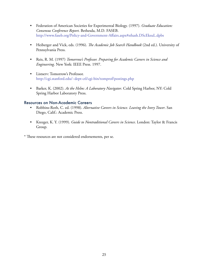- Federation of American Societies for Experimental Biology. (1997). *Graduate Education: Consensus Conference Report*. Bethesda, M.D. FASEB. http://www.faseb.org/Policy-and-Government-Affairs.aspx#sthash.DScEksuL.dpbs
- Heiberger and Vick, eds. (1996). *The Academic Job Search Handbook* (2nd ed.). University of Pennsylvania Press.
- Reis, R. M. (1997) *Tomorrow's Professor. Preparing for Academic Careers in Science and Engineering*. New York: IEEE Press. 1997.
- Listserv: Tomorrow's Professor. http://cgi.stanford.edu/~dept-ctl/cgi-bin/tomprof/postings.php
- Barker, K. (2002). *At the Helm: A Laboratory Navigator*. Cold Spring Harbor, NY: Cold Spring Harbor Laboratory Press.

#### Resources on Non-Academic Careers

- Robbins-Roth, C. ed. (1998). *Alternative Careers in Science. Leaving the Ivory Tower*. San Diego, Calif.: Academic Press.
- Kreeger, K. Y. (1999). *Guide to Nontraditional Careers in Science*. London: Taylor & Francis Group.

\* These resources are not considered endorsements, per se.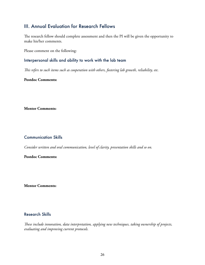## III. Annual Evaluation for Research Fellows

The research fellow should complete assessment and then the PI will be given the opportunity to make his/her comments.

Please comment on the following:

#### Interpersonal skills and ability to work with the lab team

*This refers to such items such as cooperation with others, fostering lab growth, reliability, etc.* 

#### **Postdoc Comments:**

**Mentor Comments:** 

#### Communication Skills

*Consider written and oral communication, level of clarity, presentation skills and so on.*

#### **Postdoc Comments:**

**Mentor Comments:**

#### Research Skills

*These include innovation, data interpretation, applying new techniques, taking ownership of projects, evaluating and improving current protocols.*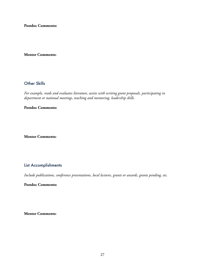**Postdoc Comments:** 

#### **Mentor Comments:**

#### Other Skills

*For example, reads and evaluates literature, assists with writing grant proposals, participating in department or national meetings, teaching and mentoring, leadership skills.*

#### **Postdoc Comments:**

**Mentor Comments:**

#### List Accomplishments

*Include publications, conference presentations, local lectures, grants or awards, grants pending, etc.*

**Postdoc Comments:** 

**Mentor Comments:**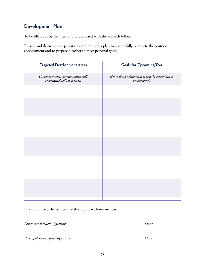28

## Development Plan

To be filled out by the mentor and discussed with the research fellow.

Review and discuss job expectations and develop a plan to successfully complete the postdoc appointment and to prepare him/her to meet personal goals.

| <b>Targeted Development Areas</b>                                          | <b>Goals for Upcoming Year</b>                                     |
|----------------------------------------------------------------------------|--------------------------------------------------------------------|
| List interpersonal, communication and/<br>or analytical skills to focus on | How will the achievement of goals be determined or<br>benchmarked? |
|                                                                            |                                                                    |
|                                                                            |                                                                    |
|                                                                            |                                                                    |
|                                                                            |                                                                    |
|                                                                            |                                                                    |
|                                                                            |                                                                    |
|                                                                            |                                                                    |
|                                                                            |                                                                    |

I have discussed the contents of this report with my mentor.

*Postdoctoral fellow signature: Date:*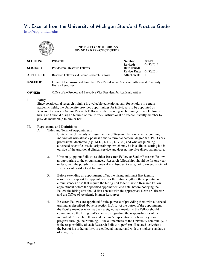## VI. Excerpt from the University of Michigan *Standard Practice Guide*

http://spg.umich.edu/



#### **UNIVERSITY OF MICHIGAN STANDARD PRACTICE GUIDE**

| <b>SECTION:</b>    | Personnel                                                                                                 | Number:                             | 201.19     |
|--------------------|-----------------------------------------------------------------------------------------------------------|-------------------------------------|------------|
| <b>SUBJECT:</b>    | <b>Postdoctoral Research Fellows</b>                                                                      | <b>Revised:</b><br>Date Issued:     | 04/30/2010 |
| <b>APPLIES TO:</b> | Research Fellows and Senior Research Fellows                                                              | <b>Review Date:</b><br>Attachments: | 04/30/2014 |
| <b>ISSUED BY:</b>  | Office of the Provost and Executive Vice President for Academic Affairs and University<br>Human Resources |                                     |            |
| <b>OWNER:</b>      | Office of the Provost and Executive Vice President for Academic Affairs                                   |                                     |            |

**I. Policy**

Since postdoctoral research training is a valuable educational path for scholars in certain academic fields, the University provides opportunities for individuals to be appointed as Research Fellows or Senior Research Fellows while receiving such training. Each Fellow's hiring unit should assign a tenured or tenure track instructional or research faculty member to provide mentorship to him or her.

#### **II. Regulations and Definitions**

- A. Titles and Term of Appointments
	- 1. Units at the University will use the title of Research Fellow when appointing individuals who already possess either a terminal doctoral degree (i.e. Ph.D.) or a professional doctorate (e.g., M.D., D.D.S, D.V.M.) and who are pursuing advanced scientific or scholarly training, which may be in a clinical setting but is outside of the traditional clinical service and does not involve direct patient care.
	- 2. Units may appoint Fellows as either Research Fellow or Senior Research Fellow, as appropriate to the circumstances. Research fellowships should be for one year or less, with the possibility of renewal in subsequent years, not to exceed a total of five years of postdoctoral training.
	- 3. Before extending an appointment offer, the hiring unit must first identify resources to support the appointment for the entire length of the appointment. If circumstances arise that require the hiring unit to terminate a Research Fellow appointment before the specified appointment end date, before notifying the Fellow the hiring unit should first consult with the appropriate Dean or Director and the Office of Academic Human Resources.
	- 4. Research Fellows are appointed for the purpose of providing them with advanced training as described above in section II.A.1. At the outset of the appointment, the faculty member who has been assigned as a mentor to the Fellow should communicate the hiring unit's standards regarding the responsibilities of the individual Research Fellows and the unit's expectations for how they should progress through their training. Like all members of the University community, it is the responsibility of each Research Fellow to perform all related activities to the best of his or her ability, in a collegial manner and with the highest standards of integrity.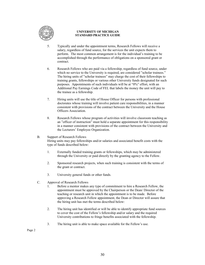

#### **UNIVERSITY OF MICHIGAN STANDARD PRACTICE GUIDE**

- 5. Typically and under the appointment terms, Research Fellows will receive a salary, regardless of fund source, for the services the unit expects them to perform. The most common arrangement is for the individual's training to be accomplished through the performance of obligations on a sponsored grant or contract.
- 6. Research Fellows who are paid via a fellowship, regardless of fund source, under which no service to the University is required, are considered "scholar trainees." The hiring units of "scholar trainees" may charge the cost of their fellowships to training grants, fellowships or various other University funds designated for such purposes. Appointments of such individuals will be at "0%" effort, with an Additional Pay Earnings Code of FEL that labels the money the unit will pay to the trainee as a fellowship.
- 7. Hiring units will use the title of House Officer for persons with professional doctorates whose training will involve patient care responsibilities, in a manner consistent with provisions of the contract between the University and the House Officers Association.
- 8. Research Fellows whose program of activities will involve classroom teaching as an "officer of instruction" must hold a separate appointment for this responsibility in a manner consistent with provisions of the contract between the University and the Lecturers' Employee Organization.

#### B. Support of Research Fellows Hiring units may pay fellowships and/or salaries and associated benefit costs with the type of funds described below:

- 1. Externally funded training grants or fellowships, which may be administered through the University or paid directly by the granting agency to the Fellow.
- 2. Sponsored research projects, when such training is consistent with the terms of the grant or contract.
- 3. University general funds or other funds.
- C. Approval of Research Fellows
	- 1. Before a mentor makes any type of commitment to hire a Research Fellow, the appointment must be approved by the Chairperson or the Dean/ Director of the teaching or research unit in which the appointment is to be made. Before approving a Research Fellow appointment, the Dean or Director will assure that the hiring unit has met the terms described below:
	- 2. The hiring unit has identified or will be able to identify appropriate fund sources to cover the cost of the Fellow's fellowship and/or salary and the required University contributions to fringe benefits associated with the fellowship.
	- 3. The hiring unit is able to make space available for the Fellow's use.

Page 2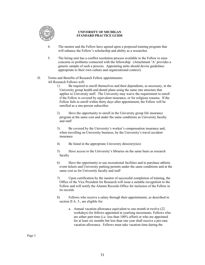

#### **UNIVERSITY OF MICHIGAN STANDARD PRACTICE GUIDE**

- 4. The mentor and the Fellow have agreed upon a proposed training program that will enhance the Fellow's scholarship and ability as a researcher.
- 5. The hiring unit has a conflict resolution process available to the Fellow to raise concerns or problems connected with the fellowship. (Attachment 'A' provides a generic sample of such a process. Appointing units should devise guidelines appropriate to their own culture and organizational context).

#### D. Terms and Benefits of Research Fellow appointments: All Research Fellows will:

- 1) Be required to enroll themselves and their dependents, as necessary, in the University group health and dental plans using the same rate structure that applies to University staff. The University may waive the requirement to enroll if the Fellow is covered by equivalent insurance, or for religious reasons. If the Fellow fails to enroll within thirty days after appointment, the Fellow will be enrolled as a one-person subscriber.
- 2) Have the opportunity to enroll in the University group life insurance program at the same cost and under the same conditions as University faculty and staff
- 3) Be covered by the University's worker's compensation insurance and, when travelling on University business, by the University's travel accident insurance
- 4) Be listed in the appropriate University directory(ies)
- 5) Have access to the University's libraries on the same basis as research faculty
- 6) Have the opportunity to use recreational facilities and to purchase athletic event tickets and University parking permits under the same conditions and at the same cost as for University faculty and staff
- 7) Upon certification by the mentor of successful completion of training, the Office of the Vice President for Research will issue a suitable recognition to the Fellow and will notify the Alumni Records Office for inclusion of the Fellow in its records.
- 8) Fellows who receive a salary through their appointments, as described in section II A. 5., are eligible for:
	- a. Annual vacation allowance equivalent to one month in twelve (22 workdays) for fellows appointed in yearlong increments. Fellows who are either part-time (i.e. less than 100% effort) or who are appointed for at least six months but less than one year shall receive a pro-rata vacation allowance. Fellows must take vacation time during the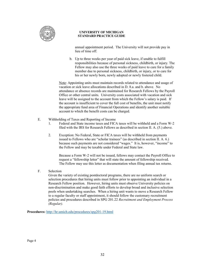

#### **UNIVERSITY OF MICHIGAN STANDARD PRACTICE GUIDE**

annual appointment period. The University will not provide pay in lieu of time off.

b. Up to three weeks per year of paid sick leave, if unable to fulfill responsibilities because of personal sickness, childbirth, or injury. The Fellow may also use the three weeks of paid leave to care for a family member due to personal sickness, childbirth, or injury, or to care for his or her newly born, newly adopted or newly fostered child.

Note: Appointing units must maintain records related to attendance and usage of vacation or sick leave allocations described in D. 8.a. and b. above. No attendance or absence records are maintained for Research Fellows by the Payroll Office or other central units. University costs associated with vacation and sick leave will be assigned to the account from which the Fellow's salary is paid. If the account is insufficient to cover the full cost of benefits, the unit must notify the appropriate fund area of Financial Operations and identify another suitable account to which the benefit costs can be charged.

- E. Withholding of Taxes and Reporting of Income
	- 1. Federal and State income taxes and FICA taxes will be withheld and a Form W-2 filed with the IRS for Research Fellows as described in section II. A. (5.) above.
	- 2. Exception: No Federal, State or FICA taxes will be withheld from payments issued to Fellows who are "scholar trainees" (as described in section II. A. 6.) because such payments are not considered "wages." It is, however, "income" to the Fellow and may be taxable under Federal and State law.

Because a Form W-2 will not be issued, fellows may contact the Payroll Office to request a "fellowship letter" that will state the amount of fellowship received. The Fellow may use this letter as documentation when filing annual tax returns.

F. Selection

Given the variety of existing postdoctoral programs, there are no uniform search or selection procedures that hiring units must follow prior to appointing an individual in a Research Fellow position. However, hiring units must observe University policies on non-discrimination and make good faith efforts to develop broad and inclusive selection pools when undertaking searches. When a hiring unit wants to move a Research Fellow to a regular faculty or staff appointment, it should follow the customary recruitment policies and procedures described in SPG 201.22 *Recruitment and Employment Process (Regular).*

**Procedures:** http://hr.umich.edu/procedures/spg201-19.html